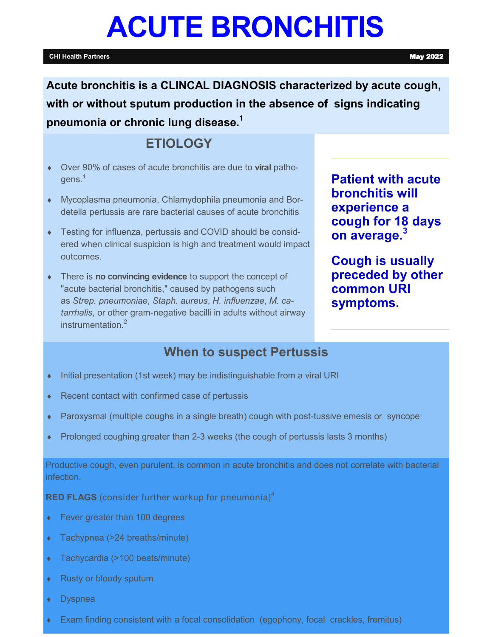# **ACUTE BRONCHITIS**

#### **CHI Health Partners** May 2022

**Patient with acute** 

**cough for 18 days** 

**Cough is usually preceded by other** 

**bronchitis will experience a** 

**on average.<sup>3</sup>**

**common URI symptoms.**

**Acute bronchitis is a CLINCAL DIAGNOSIS characterized by acute cough, with or without sputum production in the absence of signs indicating pneumonia or chronic lung disease.<sup>1</sup>**

## **ETIOLOGY**

- Over 90% of cases of acute bronchitis are due to **viral** patho $qens.<sup>1</sup>$
- Mycoplasma pneumonia, Chlamydophila pneumonia and Bordetella pertussis are rare bacterial causes of acute bronchitis
- Testing for influenza, pertussis and COVID should be considered when clinical suspicion is high and treatment would impact outcomes.
- There is **no convincing evidence** to support the concept of "acute bacterial bronchitis," caused by pathogens such as *Strep. pneumoniae*, *Staph. aureus*, *H. influenzae*, *M. catarrhalis*, or other gram-negative bacilli in adults without airway instrumentation.<sup>2</sup>

## **When to suspect Pertussis**

- Initial presentation (1st week) may be indistinguishable from a viral URI
- ◆ Recent contact with confirmed case of pertussis
- Paroxysmal (multiple coughs in a single breath) cough with post-tussive emesis or syncope
- Prolonged coughing greater than 2-3 weeks (the cough of pertussis lasts 3 months)

Productive cough, even purulent, is common in acute bronchitis and does not correlate with bacterial infection.

**RED FLAGS** (consider further workup for pneumonia)<sup>4</sup>

- ◆ Fever greater than 100 degrees
- Tachypnea (>24 breaths/minute)
- Tachycardia (>100 beats/minute)
- ◆ Rusty or bloody sputum
- Dyspnea
- Exam finding consistent with a focal consolidation (egophony, focal crackles, fremitus)